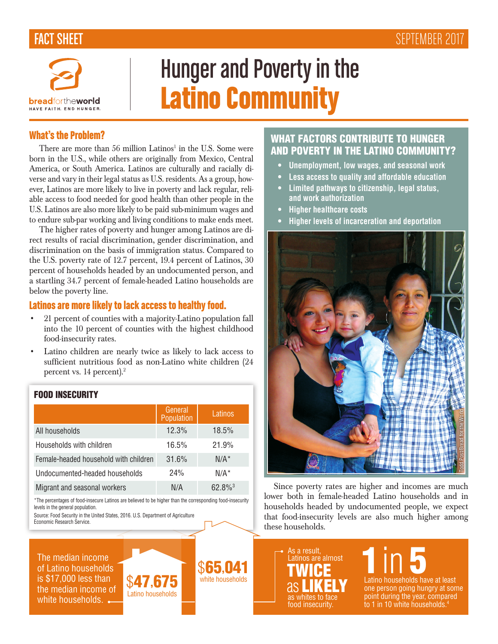## FACT SHEET **SHEET SEPTEMBER 2017**



# Hunger and Poverty in the Latino Community

#### What's the Problem?

There are more than 56 million Latinos<sup>1</sup> in the U.S. Some were born in the U.S., while others are originally from Mexico, Central America, or South America. Latinos are culturally and racially diverse and vary in their legal status as U.S. residents. As a group, however, Latinos are more likely to live in poverty and lack regular, reliable access to food needed for good health than other people in the U.S. Latinos are also more likely to be paid sub-minimum wages and to endure sub-par working and living conditions to make ends meet.

The higher rates of poverty and hunger among Latinos are direct results of racial discrimination, gender discrimination, and discrimination on the basis of immigration status. Compared to the U.S. poverty rate of 12.7 percent, 19.4 percent of Latinos, 30 percent of households headed by an undocumented person, and a startling 34.7 percent of female-headed Latino households are below the poverty line.

#### Latinos are more likely to lack access to healthy food.

- 21 percent of counties with a majority-Latino population fall into the 10 percent of counties with the highest childhood food-insecurity rates.
- Latino children are nearly twice as likely to lack access to sufficient nutritious food as non-Latino white children (24 percent vs. 14 percent).<sup>2</sup>

#### FOOD INSECURITY

|                                       | General<br>Population | Latinos               |
|---------------------------------------|-----------------------|-----------------------|
| All households                        | 12.3%                 | 18.5%                 |
| Households with children              | 16.5%                 | 21.9%                 |
| Female-headed household with children | 31.6%                 | $N/A^*$               |
| Undocumented-headed households        | 24%                   | $N/A^*$               |
| Migrant and seasonal workers          | N/A                   | $62.8\%$ <sup>3</sup> |

\*The percentages of food-insecure Latinos are believed to be higher than the corresponding food-insecurity levels in the general population.

Source: Food Security in the United States, 2016. U.S. Department of Agriculture Economic Research Service.

The median income of Latino households is \$17,000 less than the median income of white households.  $\leftarrow$ 



\$65,041

### WHAT FACTORS CONTRIBUTE TO HUNGER AND POVERTY IN THE LATINO COMMUNITY?

- **• Unemployment, low wages, and seasonal work**
- **• Less access to quality and affordable education**
- **• Limited pathways to citizenship, legal status, and work authorization**
- **• Higher healthcare costs**
- **• Higher levels of incarceration and deportation**



Since poverty rates are higher and incomes are much lower both in female-headed Latino households and in households headed by undocumented people, we expect that food-insecurity levels are also much higher among these households.

As a result, Latinos are almost as whites to face food insecurity. TWICE as **LIKELY**   $\prod_{\text{Latino}\text{ households have at least}}$ one person going hungry at some point during the year, compared to 1 in 10 white households.<sup>4</sup>